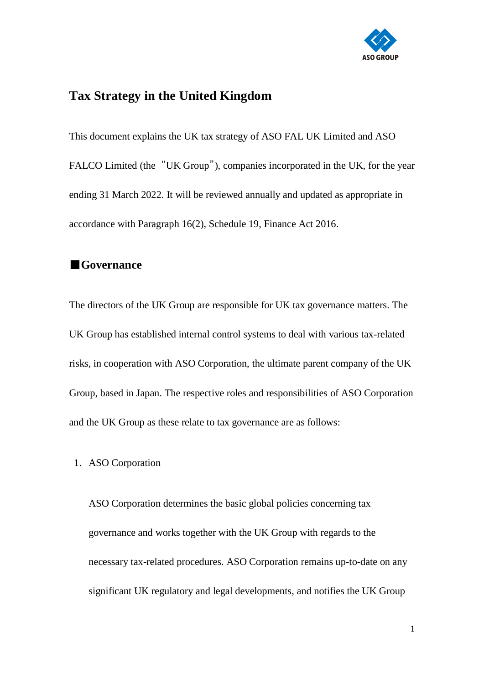

# **Tax Strategy in the United Kingdom**

This document explains the UK tax strategy of ASO FAL UK Limited and ASO FALCO Limited (the "UK Group"), companies incorporated in the UK, for the year ending 31 March 2022. It will be reviewed annually and updated as appropriate in accordance with Paragraph 16(2), Schedule 19, Finance Act 2016.

#### ■**Governance**

The directors of the UK Group are responsible for UK tax governance matters. The UK Group has established internal control systems to deal with various tax-related risks, in cooperation with ASO Corporation, the ultimate parent company of the UK Group, based in Japan. The respective roles and responsibilities of ASO Corporation and the UK Group as these relate to tax governance are as follows:

1. ASO Corporation

ASO Corporation determines the basic global policies concerning tax governance and works together with the UK Group with regards to the necessary tax-related procedures. ASO Corporation remains up-to-date on any significant UK regulatory and legal developments, and notifies the UK Group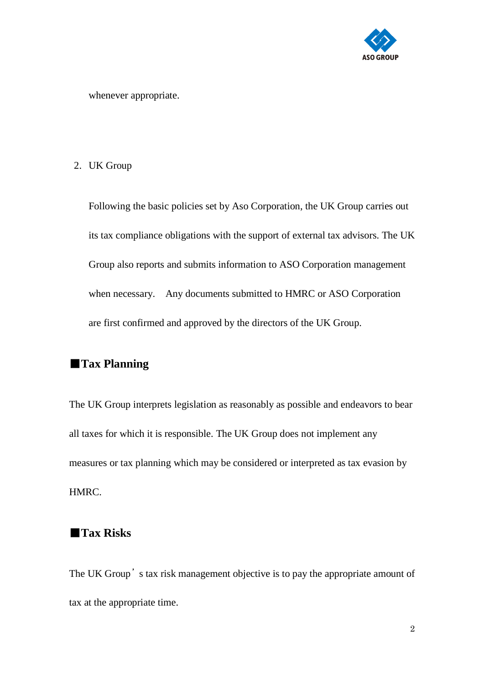

whenever appropriate.

2. UK Group

Following the basic policies set by Aso Corporation, the UK Group carries out its tax compliance obligations with the support of external tax advisors. The UK Group also reports and submits information to ASO Corporation management when necessary. Any documents submitted to HMRC or ASO Corporation are first confirmed and approved by the directors of the UK Group.

## ■**Tax Planning**

The UK Group interprets legislation as reasonably as possible and endeavors to bear all taxes for which it is responsible. The UK Group does not implement any measures or tax planning which may be considered or interpreted as tax evasion by HMRC.

#### ■**Tax Risks**

The UK Group's tax risk management objective is to pay the appropriate amount of tax at the appropriate time.